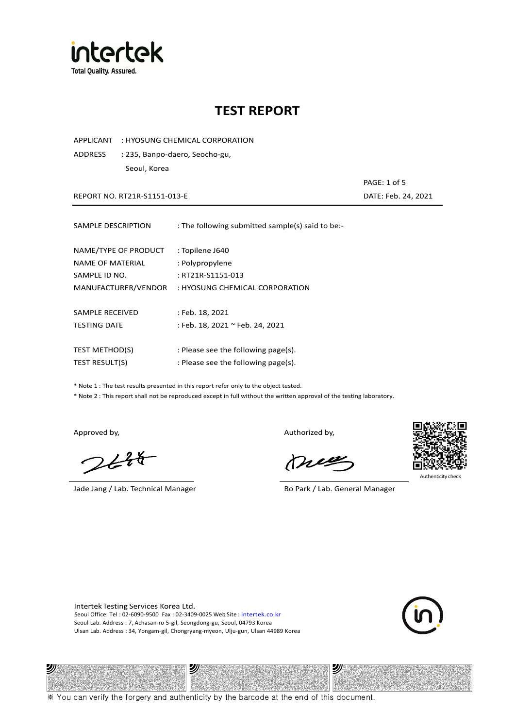

APPLICANT : HYOSUNG CHEMICAL CORPORATION

ADDRESS : 235, Banpo-daero, Seocho-gu, Seoul, Korea

REPORT NO. RT21R-S1151-013-E DATE: Feb. 24, 2021

| SAMPLE DESCRIPTION      | : The following submitted sample(s) said to be:- |
|-------------------------|--------------------------------------------------|
| NAME/TYPE OF PRODUCT    | : Topilene J640                                  |
| <b>NAME OF MATERIAL</b> | : Polypropylene                                  |
| SAMPLE ID NO.           | : RT21R-S1151-013                                |
| MANUFACTURER/VENDOR     | : HYOSUNG CHEMICAL CORPORATION                   |
| SAMPLE RECEIVED         | : Feb. 18, 2021                                  |
| <b>TESTING DATE</b>     | : Feb. 18, 2021 ~ Feb. 24, 2021                  |
| <b>TEST METHOD(S)</b>   | : Please see the following page(s).              |
| TEST RESULT(S)          | : Please see the following page(s).              |

\* Note 1 : The test results presented in this report refer only to the object tested.

\* Note 2 : This report shall not be reproduced except in full without the written approval of the testing laboratory.

沙

 $248$ 

Jade Jang / Lab. Technical Manager Bo Park / Lab. General Manager

Approved by, Authorized by, Authorized by,

mes



Authenticity check

沙

PAGE: 1 of 5

Intertek Testing Services Korea Ltd. Seoul Office: Tel : 02-6090-9500 Fax : 02-3409-0025 Web Site : intertek.co.kr Seoul Lab. Address : 7, Achasan-ro 5-gil, Seongdong-gu, Seoul, 04793 Korea Ulsan Lab. Address : 34, Yongam-gil, Chongryang-myeon, Ulju-gun, Ulsan 44989 Korea

沙



※ You can verify the forgery and authenticity by the barcode at the end of this document.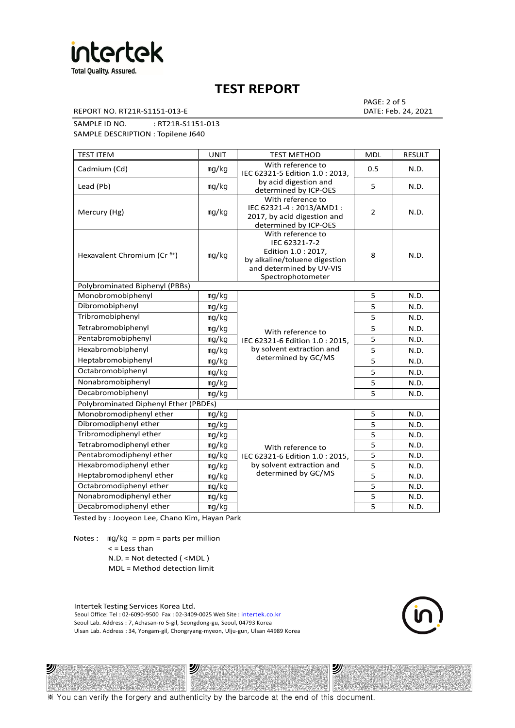

REPORT NO. RT21R-S1151-013-E DATE: Feb. 24, 2021

PAGE: 2 of 5

SAMPLE ID NO. : RT21R-S1151-013

SAMPLE DESCRIPTION : Topilene J640

| <b>TEST ITEM</b>                        | <b>UNIT</b> | <b>TEST METHOD</b>                                                                                                                          | <b>MDL</b>     | <b>RESULT</b> |
|-----------------------------------------|-------------|---------------------------------------------------------------------------------------------------------------------------------------------|----------------|---------------|
| Cadmium (Cd)                            | mg/kg       | With reference to<br>IEC 62321-5 Edition 1.0: 2013.                                                                                         | 0.5            | N.D.          |
| Lead (Pb)                               | mg/kg       | by acid digestion and<br>determined by ICP-OES                                                                                              | 5              | N.D.          |
| Mercury (Hg)                            | mg/kg       | With reference to<br>IEC 62321-4 : 2013/AMD1 :<br>2017, by acid digestion and<br>determined by ICP-OES                                      | $\overline{2}$ | N.D.          |
| Hexavalent Chromium (Cr <sup>6+</sup> ) | mg/kg       | With reference to<br>IEC 62321-7-2<br>Edition 1.0 : 2017,<br>by alkaline/toluene digestion<br>and determined by UV-VIS<br>Spectrophotometer | 8              | N.D.          |
| Polybrominated Biphenyl (PBBs)          |             |                                                                                                                                             |                |               |
| Monobromobiphenyl                       | mg/kg       |                                                                                                                                             | 5              | N.D.          |
| Dibromobiphenyl                         | mg/kg       |                                                                                                                                             | 5              | N.D.          |
| Tribromobiphenyl                        | mg/kg       |                                                                                                                                             | 5              | N.D.          |
| Tetrabromobiphenyl                      | mg/kg       | With reference to                                                                                                                           | 5              | N.D.          |
| Pentabromobiphenyl                      | mg/kg       | IEC 62321-6 Edition 1.0: 2015,                                                                                                              | 5              | N.D.          |
| Hexabromobiphenyl                       | mg/kg       | by solvent extraction and                                                                                                                   | 5              | N.D.          |
| Heptabromobiphenyl                      | mg/kg       | determined by GC/MS                                                                                                                         | 5              | N.D.          |
| Octabromobiphenyl                       | mg/kg       |                                                                                                                                             | 5              | N.D.          |
| Nonabromobiphenyl                       | mg/kg       |                                                                                                                                             | 5              | N.D.          |
| Decabromobiphenyl                       | mg/kg       |                                                                                                                                             | 5              | N.D.          |
| Polybrominated Diphenyl Ether (PBDEs)   |             |                                                                                                                                             |                |               |
| Monobromodiphenyl ether                 | mg/kg       |                                                                                                                                             | 5              | N.D.          |
| Dibromodiphenyl ether                   | mg/kg       |                                                                                                                                             | 5              | N.D.          |
| Tribromodiphenyl ether                  | mg/kg       |                                                                                                                                             | 5              | N.D.          |
| Tetrabromodiphenyl ether                | mg/kg       | With reference to                                                                                                                           | $\overline{5}$ | N.D.          |
| Pentabromodiphenyl ether                | mg/kg       | IEC 62321-6 Edition 1.0: 2015,                                                                                                              | 5              | N.D.          |
| Hexabromodiphenyl ether                 | mg/kg       | by solvent extraction and                                                                                                                   | 5              | N.D.          |
| Heptabromodiphenyl ether                | mg/kg       | determined by GC/MS                                                                                                                         | 5              | N.D.          |
| Octabromodiphenyl ether                 | mg/kg       |                                                                                                                                             | 5              | N.D.          |
| Nonabromodiphenyl ether                 | mg/kg       |                                                                                                                                             | 5              | N.D.          |
| Decabromodiphenyl ether                 | mg/kg       |                                                                                                                                             | 5              | N.D.          |

Tested by : Jooyeon Lee, Chano Kim, Hayan Park

Notes : mg/kg = ppm = parts per million  $<$  = Less than N.D. = Not detected ( <MDL )

沙

MDL = Method detection limit

Intertek Testing Services Korea Ltd. Seoul Office: Tel : 02-6090-9500 Fax : 02-3409-0025 Web Site : intertek.co.kr Seoul Lab. Address : 7, Achasan-ro 5-gil, Seongdong-gu, Seoul, 04793 Korea Ulsan Lab. Address : 34, Yongam-gil, Chongryang-myeon, Ulju-gun, Ulsan 44989 Korea

沙



纱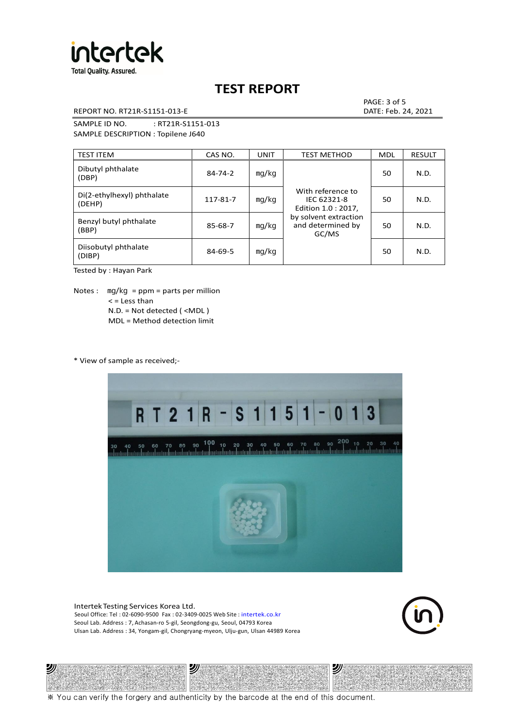

REPORT NO. RT21R-S1151-013-E DATE: Feb. 24, 2021

PAGE: 3 of 5

SAMPLE ID NO. : RT21R-S1151-013 SAMPLE DESCRIPTION : Topilene J640

| <b>TEST ITEM</b>                     | CAS NO.       | <b>UNIT</b> | <b>TEST METHOD</b>                                      | <b>MDL</b> | <b>RESULT</b> |
|--------------------------------------|---------------|-------------|---------------------------------------------------------|------------|---------------|
| Dibutyl phthalate<br>(DBP)           | $84 - 74 - 2$ | mq/kg       | With reference to<br>IEC 62321-8<br>Edition 1.0 : 2017, | 50         | N.D.          |
| Di(2-ethylhexyl) phthalate<br>(DEHP) | 117-81-7      | mg/kg       |                                                         | 50         | N.D.          |
| Benzyl butyl phthalate<br>(BBP)      | 85-68-7       | mg/kg       | by solvent extraction<br>and determined by<br>GC/MS     | 50         | N.D.          |
| Diisobutyl phthalate<br>(DIBP)       | $84 - 69 - 5$ | mg/kg       |                                                         | 50         | N.D.          |

Tested by : Hayan Park

Notes :  $mq/kg = ppm = parts per million$  $<$  = Less than N.D. = Not detected ( <MDL ) MDL = Method detection limit

\* View of sample as received;-

ツル



Intertek Testing Services Korea Ltd. Seoul Office: Tel : 02-6090-9500 Fax : 02-3409-0025 Web Site : intertek.co.kr Seoul Lab. Address : 7, Achasan-ro 5-gil, Seongdong-gu, Seoul, 04793 Korea Ulsan Lab. Address : 34, Yongam-gil, Chongryang-myeon, Ulju-gun, Ulsan 44989 Korea

2)



沙

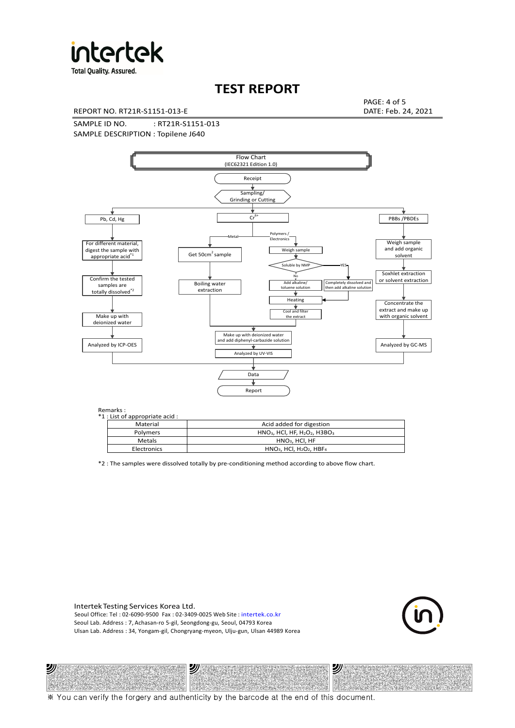

**Total Quality. Assured.** 

# **TEST REPORT**

REPORT NO. RT21R-S1151-013-E DATE: Feb. 24, 2021

PAGE: 4 of 5

SAMPLE ID NO. : RT21R-S1151-013 SAMPLE DESCRIPTION : Topilene J640



#### Remarks :

沙

| . כוווטווש<br>1 : List of appropriate acid : |                                                                     |
|----------------------------------------------|---------------------------------------------------------------------|
| Material                                     | Acid added for digestion                                            |
| Polymers                                     | $HNO3$ , HCl, HF, H <sub>2</sub> O <sub>2</sub> , H3BO <sub>3</sub> |
| Metals                                       | $HNO3$ , HCl, HF                                                    |
| Electronics                                  | $HNO3$ , HCl, H <sub>2</sub> O <sub>2</sub> , HBF <sub>4</sub>      |
|                                              |                                                                     |

\*2 : The samples were dissolved totally by pre-conditioning method according to above flow chart.

Intertek Testing Services Korea Ltd. Seoul Office: Tel : 02-6090-9500 Fax : 02-3409-0025 Web Site : intertek.co.kr Seoul Lab. Address : 7, Achasan-ro 5-gil, Seongdong-gu, Seoul, 04793 Korea Ulsan Lab. Address : 34, Yongam-gil, Chongryang-myeon, Ulju-gun, Ulsan 44989 Korea

沙



沙